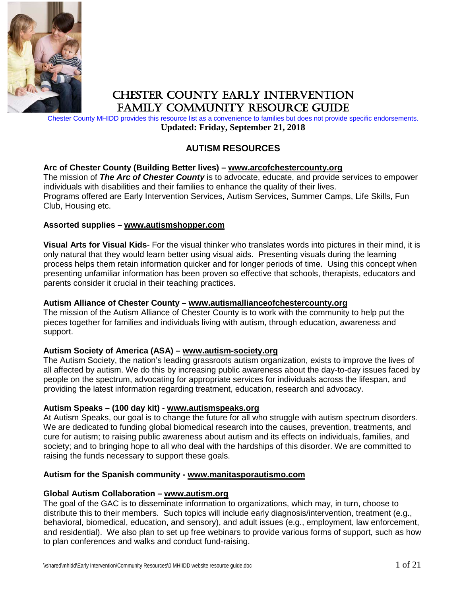

# CHESTER COUNTY EARLY INTERVENTION FAMILY COMMUNITY RESOURCE GUIDE

Chester County MHIDD provides this resource list as a convenience to families but does not provide specific endorsements. **Updated: Friday, September 21, 2018**

## **AUTISM RESOURCES**

#### **Arc of Chester County (Building Better lives) – [www.arcofchestercounty.org](http://www.arcofchestercounty.org/)**

The mission of *The Arc of Chester County* is to advocate, educate, and provide services to empower individuals with disabilities and their families to enhance the quality of their lives. Programs offered are Early Intervention Services, Autism Services, Summer Camps, Life Skills, Fun Club, Housing etc.

#### **Assorted supplies – [www.autismshopper.com](http://www.autismshopper.com/)**

**Visual Arts for Visual Kids**- For the visual thinker who translates words into pictures in their mind, it is only natural that they would learn better using visual aids. Presenting visuals during the learning process helps them retain information quicker and for longer periods of time. Using this concept when presenting unfamiliar information has been proven so effective that schools, therapists, educators and parents consider it crucial in their teaching practices.

#### **Autism Alliance of Chester County – [www.autismallianceofchestercounty.org](http://www.autismallianceofchestercounty.org/)**

The mission of the Autism Alliance of Chester County is to work with the community to help put the pieces together for families and individuals living with autism, through education, awareness and support.

### **Autism Society of America (ASA) – [www.autism-society.org](http://www.autism-society.org/)**

The Autism Society, the nation's leading grassroots autism organization, exists to improve the lives of all affected by autism. We do this by increasing public awareness about the day-to-day issues faced by people on the spectrum, advocating for appropriate services for individuals across the lifespan, and providing the latest information regarding treatment, education, research and advocacy.

#### **Autism Speaks – (100 day kit) - [www.autismspeaks.org](http://www.autismspeaks.org/)**

At Autism Speaks, our goal is to change the future for all who struggle with autism spectrum disorders. We are dedicated to funding global biomedical research into the causes, prevention, treatments, and cure for autism; to raising public awareness about autism and its effects on individuals, families, and society; and to bringing hope to all who deal with the hardships of this disorder. We are committed to raising the funds necessary to support these goals.

#### **Autism for the Spanish community - [www.manitasporautismo.com](http://www.manitasporautismo.com/)**

#### **Global Autism Collaboration – [www.autism.org](http://www.autism.org/)**

The goal of the GAC is to disseminate information to organizations, which may, in turn, choose to distribute this to their members. Such topics will include early diagnosis/intervention, treatment (e.g., behavioral, biomedical, education, and sensory), and adult issues (e.g., employment, law enforcement, and residential). We also plan to set up free webinars to provide various forms of support, such as how to plan conferences and walks and conduct fund-raising.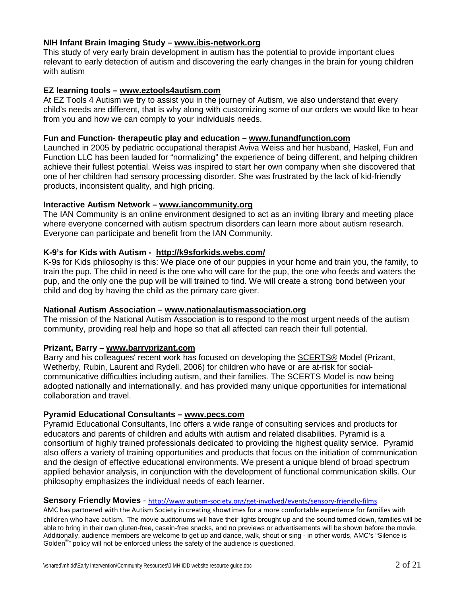#### **NIH Infant Brain Imaging Study – [www.ibis-network.org](http://www.ibis-network.org/)**

This study of very early brain development in autism has the potential to provide important clues relevant to early detection of autism and discovering the early changes in the brain for young children with autism

#### **EZ learning tools – [www.eztools4autism.com](http://www.eztools4autism.com/)**

At EZ Tools 4 Autism we try to assist you in the journey of Autism, we also understand that every child's needs are different, that is why along with customizing some of our orders we would like to hear from you and how we can comply to your individuals needs.

#### **Fun and Function- therapeutic play and education – [www.funandfunction.com](http://www.funandfunction.com/)**

Launched in 2005 by pediatric occupational therapist Aviva Weiss and her husband, Haskel, Fun and Function LLC has been lauded for "normalizing" the experience of being different, and helping children achieve their fullest potential. Weiss was inspired to start her own company when she discovered that one of her children had sensory processing disorder. She was frustrated by the lack of kid-friendly products, inconsistent quality, and high pricing.

#### **Interactive Autism Network – [www.iancommunity.org](http://www.iancommunity.org/)**

The IAN Community is an online environment designed to act as an inviting library and meeting place where everyone concerned with autism spectrum disorders can learn more about autism research. Everyone can participate and benefit from the IAN Community.

#### **K-9's for Kids with Autism - <http://k9sforkids.webs.com/>**

K-9s for Kids philosophy is this: We place one of our puppies in your home and train you, the family, to train the pup. The child in need is the one who will care for the pup, the one who feeds and waters the pup, and the only one the pup will be will trained to find. We will create a strong bond between your child and dog by having the child as the primary care giver.

#### **National Autism Association – [www.nationalautismassociation.org](http://www.nationalautismassociation.org/)**

The mission of the National Autism Association is to respond to the most urgent needs of the autism community, providing real help and hope so that all affected can reach their full potential.

### **Prizant, Barry – [www.barryprizant.com](http://www.barryprizant.com/)**

Barry and his colleagues' recent work has focused on developing the [SCERTS®](http://www.scerts.com/) Model (Prizant, Wetherby, Rubin, Laurent and Rydell, 2006) for children who have or are at-risk for socialcommunicative difficulties including autism, and their families. The SCERTS Model is now being adopted nationally and internationally, and has provided many unique opportunities for international collaboration and travel.

#### **Pyramid Educational Consultants – [www.pecs.com](http://www.pecs.com/)**

Pyramid Educational Consultants, Inc offers a wide range of consulting services and products for educators and parents of children and adults with autism and related disabilities. Pyramid is a consortium of highly trained professionals dedicated to providing the highest quality service. Pyramid also offers a variety of training opportunities and products that focus on the initiation of communication and the design of effective educational environments. We present a unique blend of broad spectrum applied behavior analysis, in conjunction with the development of functional communication skills. Our philosophy emphasizes the individual needs of each learner.

#### **Sensory Friendly Movies** - <http://www.autism-society.org/get-involved/events/sensory-friendly-films>

AMC has partnered with the Autism Society in creating showtimes for a more comfortable experience for families with children who have autism. The movie auditoriums will have their lights brought up and the sound turned down, families will be able to bring in their own gluten-free, casein-free snacks, and no previews or advertisements will be shown before the movie. Additionally, audience members are welcome to get up and dance, walk, shout or sing - in other words, AMC's "Silence is Golden<sup>®</sup>" policy will not be enforced unless the safety of the audience is questioned.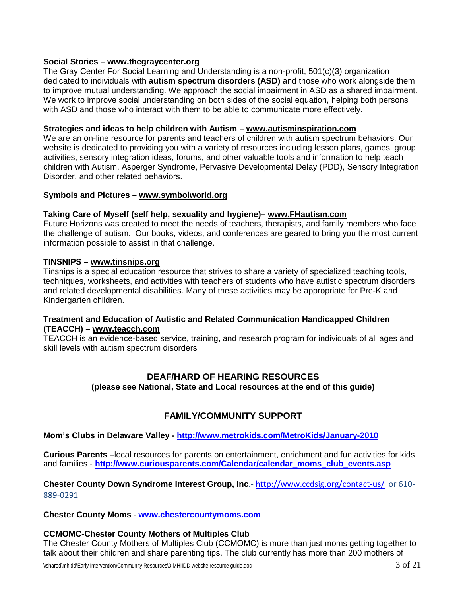### **Social Stories – [www.thegraycenter.org](http://www.thegraycenter.org/)**

The Gray Center For Social Learning and Understanding is a non-profit, 501(c)(3) organization dedicated to individuals with **[autism spectrum disorders \(ASD\)](http://www.thegraycenter.org/autismaspergers)** and those who work alongside them to improve mutual understanding. We approach the social impairment in ASD as a shared impairment. We work to improve social understanding on both sides of the social equation, helping both persons with ASD and those who interact with them to be able to communicate more effectively.

#### **Strategies and ideas to help children with Autism – [www.autisminspiration.com](http://www.autisminspiration.com/)**

We are an on-line resource for parents and teachers of children with autism spectrum behaviors. Our website is dedicated to providing you with a variety of resources including lesson plans, games, group activities, sensory integration ideas, forums, and other valuable tools and information to help teach children with Autism, Asperger Syndrome, Pervasive Developmental Delay (PDD), Sensory Integration Disorder, and other related behaviors.

#### **Symbols and Pictures – [www.symbolworld.org](http://www.symbolworld.org/)**

#### **Taking Care of Myself (self help, sexuality and hygiene)– [www.FHautism.com](http://www.fhautism.com/)**

Future Horizons was created to meet the needs of teachers, therapists, and family members who face the challenge of autism. Our books, videos, and conferences are geared to bring you the most current information possible to assist in that challenge.

#### **TINSNIPS – [www.tinsnips.org](http://www.tinsnips.org/)**

Tinsnips is a special education resource that strives to share a variety of specialized teaching tools, techniques, worksheets, and activities with teachers of students who have autistic spectrum disorders and related developmental disabilities. Many of these activities may be appropriate for Pre-K and Kindergarten children.

#### **Treatment and Education of Autistic and Related Communication Handicapped Children (TEACCH) – [www.teacch.com](http://www.teacch.com/)**

TEACCH is an evidence-based service, training, and research program for individuals of all ages and skill levels with autism spectrum disorders

### **DEAF/HARD OF HEARING RESOURCES (please see National, State and Local resources at the end of this guide)**

## **FAMILY/COMMUNITY SUPPORT**

#### **Mom's Clubs in Delaware Valley - <http://www.metrokids.com/MetroKids/January-2010>**

**Curious Parents –**local resources for parents on entertainment, enrichment and fun activities for kids and families - **[http://www.curiousparents.com/Calendar/calendar\\_moms\\_club\\_events.asp](http://www.curiousparents.com/Calendar/calendar_moms_club_events.asp)**

**Chester County Down Syndrome Interest Group, Inc**.- <http://www.ccdsig.org/contact-us/> or 610- 889-0291

#### **Chester County Moms** - **[www.chestercountymoms.com](http://www.chestercountymoms.com/)**

#### **CCMOMC-Chester County Mothers of Multiples Club**

The Chester County Mothers of Multiples Club (CCMOMC) is more than just moms getting together to talk about their children and share parenting tips. The club currently has more than 200 mothers of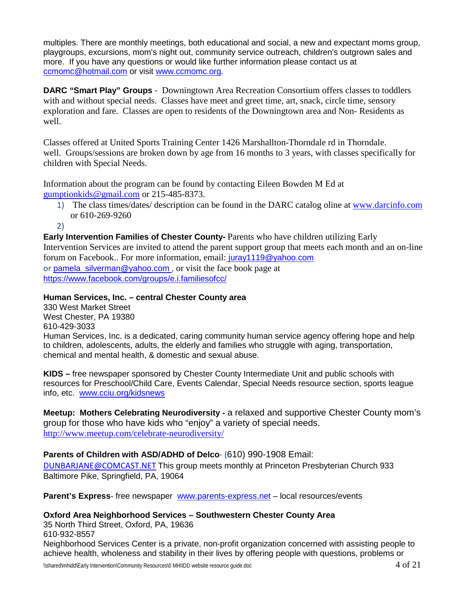multiples. There are monthly meetings, both educational and social, a new and expectant moms group, playgroups, excursions, mom's night out, community service outreach, children's outgrown sales and more. If you have any questions or would like further information please contact us at [ccmomc@hotmail.com](mailto:ccmomc@hotmail.com) or visit [www.ccmomc.org.](http://www.ccmomc.org/)

**DARC "Smart Play" Groups** - Downingtown Area Recreation Consortium offers classes to toddlers with and without special needs. Classes have meet and greet time, art, snack, circle time, sensory exploration and fare. Classes are open to residents of the Downingtown area and Non- Residents as well.

Classes offered at United Sports Training Center 1426 Marshallton-Thorndale rd in Thorndale. well. Groups/sessions are broken down by age from 16 months to 3 years, with classes specifically for children with Special Needs.

Information about the program can be found by contacting Eileen Bowden M Ed at [gumptionkids@gmail.com](mailto:gumptionkids@gmail.com) or 215-485-8373.

- 1) The class times/dates/ description can be found in the DARC catalog oline at [www.darcinfo.com](http://www.darcinfo.com/) or 610-269-9260
- 2)

**Early Intervention Families of Chester County-** Parents who have children utilizing Early Intervention Services are invited to attend the parent support group that meets each month and an on-line forum on Facebook.. For more information, email: [juray1119@yahoo.com](mailto:juray1119@yahoo.com) or pamela silverman@yahoo.com , or visit the face book page at <https://www.facebook.com/groups/e.i.familiesofcc/>

## **Human Services, Inc. – central Chester County area**

330 West Market Street West Chester, PA 19380 610-429-3033 Human Services, Inc. is a dedicated, caring community human service agency offering hope and help to children, adolescents, adults, the elderly and families who struggle with aging, transportation, chemical and mental health, & domestic and sexual abuse.

**KIDS –** free newspaper sponsored by Chester County Intermediate Unit and public schools with resources for Preschool/Child Care, Events Calendar, Special Needs resource section, sports league info, etc. [www.cciu.org/kidsnews](http://www.cciu.org/kidsnews)

**Meetup: Mothers Celebrating Neurodiversity -** a relaxed and supportive Chester County mom's group for those who have kids who "enjoy" a variety of special needs. [http://www.meetup.com/celebrate-neurodiversity/](http://cp.mcafee.com/d/5fHCNAq43qb3bZTDTC73tPqtXL9CzCVEVLsSDuXOpEVKqekSjqtSm6hRTTQPqqabMVNZcsqejqFei24E0GNfWmHM04ToDZblU02rshJFEVuvvW_8ETuuv7tuVtdBO_9IFK6zBVzBHEShhlKCVOEuvkzaT0QSyrjdTVeZXTLuZXCXCM0iL_dJrBYJV_A8XfOYfrzl2hDUQBcJxKk7qwExYOqN_E4vzOVJZ55MThJpqIpCy0z6HqNEwbCy1mGJ3h1lQQg32TSBFVEw1D-xgQg5p8kdI9CNhFl7wG5)

## **Parents of Children with ASD/ADHD of Delco**- (610) 990-1908 Email:

[DUNBARJANE@COMCAST.NET](mailto:DUNBARJANE@COMCAST.NET) This group meets monthly at Princeton Presbyterian Church 933 Baltimore Pike, Springfield, PA, 19064

**Parent's Express**- free newspaper [www.parents-express.net](http://www.parents-express.net/) – local resources/events

## **Oxford Area Neighborhood Services – Southwestern Chester County Area**

35 North Third Street, Oxford, PA, 19636 610-932-8557

Neighborhood Services Center is a private, non-profit organization concerned with assisting people to achieve health, wholeness and stability in their lives by offering people with questions, problems or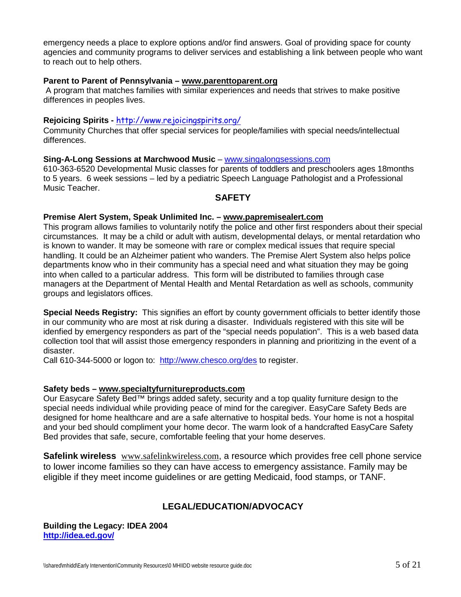emergency needs a place to explore options and/or find answers. Goal of providing space for county agencies and community programs to deliver services and establishing a link between people who want to reach out to help others.

#### **Parent to Parent of Pennsylvania – [www.parenttoparent.org](http://www.parenttoparent.org/)**

A program that matches families with similar experiences and needs that strives to make positive differences in peoples lives.

#### **Rejoicing Spirits -** <http://www.rejoicingspirits.org/>

Community Churches that offer special services for people/families with special needs/intellectual differences.

#### **Sing-A-Long Sessions at Marchwood Music** – [www.singalongsessions.com](http://www.singalongsessions.com/)

610-363-6520 Developmental Music classes for parents of toddlers and preschoolers ages 18months to 5 years. 6 week sessions – led by a pediatric Speech Language Pathologist and a Professional Music Teacher.

#### **SAFETY**

#### **Premise Alert System, Speak Unlimited Inc. – [www.papremisealert.com](http://www.papremisealert.com/)**

This program allows families to voluntarily notify the police and other first responders about their special circumstances. It may be a child or adult with autism, developmental delays, or mental retardation who is known to wander. It may be someone with rare or complex medical issues that require special handling. It could be an Alzheimer patient who wanders. The Premise Alert System also helps police departments know who in their community has a special need and what situation they may be going into when called to a particular address. This form will be distributed to families through case managers at the Department of Mental Health and Mental Retardation as well as schools, community groups and legislators offices.

**Special Needs Registry:** This signifies an effort by county government officials to better identify those in our community who are most at risk during a disaster. Individuals registered with this site will be idenfied by emergency responders as part of the "special needs population". This is a web based data collection tool that will assist those emergency responders in planning and prioritizing in the event of a disaster.

Call 610-344-5000 or logon to: <http://www.chesco.org/des> to register.

#### **Safety beds – [www.specialtyfurnitureproducts.com](http://www.specialtyfurnitureproducts.com/)**

Our Easycare Safety Bed™ brings added safety, security and a top quality furniture design to the special needs individual while providing peace of mind for the caregiver. EasyCare Safety Beds are designed for home healthcare and are a safe alternative to hospital beds. Your home is not a hospital and your bed should compliment your home decor. The warm look of a handcrafted EasyCare Safety Bed provides that safe, secure, comfortable feeling that your home deserves.

**Safelink wireless** [www.safelinkwireless.com](http://www.safelinkwireless.com/), a resource which provides free cell phone service to lower income families so they can have access to emergency assistance. Family may be eligible if they meet income guidelines or are getting Medicaid, food stamps, or TANF.

## **LEGAL/EDUCATION/ADVOCACY**

**Building the Legacy: IDEA 2004 <http://idea.ed.gov/>**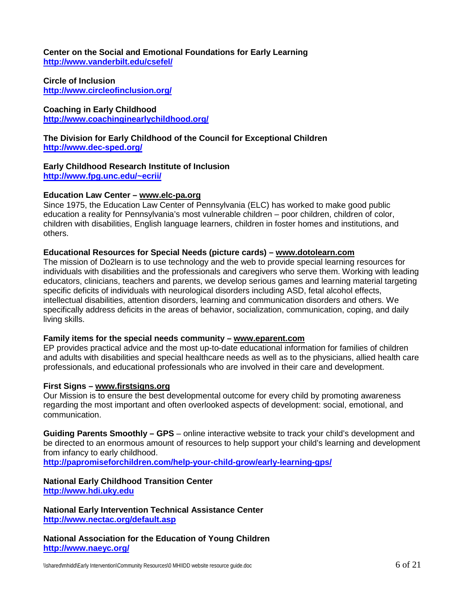**Center on the Social and Emotional Foundations for Early Learning <http://www.vanderbilt.edu/csefel/>**

**Circle of Inclusion <http://www.circleofinclusion.org/>**

**Coaching in Early Childhood <http://www.coachinginearlychildhood.org/>**

**The Division for Early Childhood of the Council for Exceptional Children <http://www.dec-sped.org/>**

**Early Childhood Research Institute of Inclusion [http://www.fpg.unc.edu/~ecrii/](http://www.fpg.unc.edu/%7Eecrii/)**

#### **Education Law Center – [www.elc-pa.org](http://www.elc-pa.org/)**

Since 1975, the Education Law Center of Pennsylvania (ELC) has worked to make good public education a reality for Pennsylvania's most vulnerable children – poor children, children of color, children with disabilities, English language learners, children in foster homes and institutions, and others.

#### **Educational Resources for Special Needs (picture cards) – [www.dotolearn.com](http://www.dotolearn.com/)**

The mission of Do2learn is to use technology and the web to provide special learning resources for individuals with disabilities and the professionals and caregivers who serve them. Working with leading educators, clinicians, teachers and parents, we develop serious games and learning material targeting specific deficits of individuals with neurological disorders including ASD, fetal alcohol effects, intellectual disabilities, attention disorders, learning and communication disorders and others. We specifically address deficits in the areas of behavior, socialization, communication, coping, and daily living skills.

#### **Family items for the special needs community – [www.eparent.com](http://www.eparent.com/)**

EP provides practical advice and the most up-to-date educational information for families of children and adults with disabilities and special healthcare needs as well as to the physicians, allied health care professionals, and educational professionals who are involved in their care and development.

#### **First Signs – [www.firstsigns.org](http://www.firstsigns.org/)**

Our Mission is to ensure the best developmental outcome for every child by promoting awareness regarding the most important and often overlooked aspects of development: social, emotional, and communication.

**Guiding Parents Smoothly – GPS** – online interactive website to track your child's development and be directed to an enormous amount of resources to help support your child's learning and development from infancy to early childhood.

**<http://papromiseforchildren.com/help-your-child-grow/early-learning-gps/>**

### **National Early Childhood Transition Center [http://www.hdi.uky.edu](http://www.hdi.uky.edu/)**

**National Early Intervention Technical Assistance Center <http://www.nectac.org/default.asp>**

**National Association for the Education of Young Children <http://www.naeyc.org/>**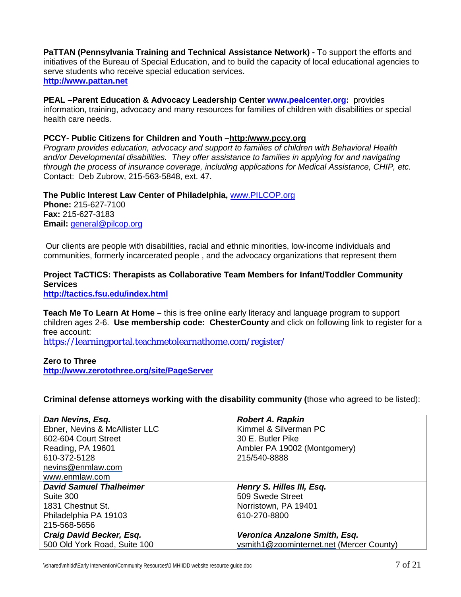**PaTTAN (Pennsylvania Training and Technical Assistance Network) -** To support the efforts and initiatives of the Bureau of Special Education, and to build the capacity of local educational agencies to serve students who receive special education services. **[http://www.pattan.net](http://www.pattan.net/)**

**PEAL –Parent Education & Advocacy Leadership Center [www.pealcenter.org:](http://www.pealcenter.org/)** provides information, training, advocacy and many resources for families of children with disabilities or special health care needs.

#### **PCCY- Public Citizens for Children and Youth [–http:/www.pccy.org](http://www.pccy.org/)**

*Program provides education, advocacy and support to families of children with Behavioral Health and/or Developmental disabilities. They offer assistance to families in applying for and navigating through the process of insurance coverage, including applications for Medical Assistance, CHIP, etc.*  Contact: Deb Zubrow, 215-563-5848, ext. 47.

**The Public Interest Law Center of Philadelphia,** [www.PILCOP.org](http://www.pilcop.org/) **Phone:** 215-627-7100 **Fax:** 215-627-3183 **Email:** [general@pilcop.org](mailto:general@pilcop.org)

Our clients are people with disabilities, racial and ethnic minorities, low-income individuals and communities, formerly incarcerated people , and the advocacy organizations that represent them

## **Project TaCTICS: Therapists as Collaborative Team Members for Infant/Toddler Community Services**

**<http://tactics.fsu.edu/index.html>**

**Teach Me To Learn At Home –** this is free online early literacy and language program to support children ages 2-6. **Use membership code: ChesterCounty** and click on following link to register for a free account:

[https://learningportal.teachmetolearnathome.com/register/](http://cp.mcafee.com/d/avndy0Q73gQrho7njvojspdTdFTKYCqerCzCZPqtXL9CzCVEVjpdFTpop7nvvjdFTuh7ecTo76POeDDWh9_45m9_iRu00CX4_FqL00jrV2P2uzD-LNEVKMUMVRXBQSnTehuKOyUqeuEyCJtdmX3_axVZicHs3jq9J5UTvAS7DTxPdNP1KVIDeqR4IM_Zz2k2aRoPQ_F_JyqLPGv-NxIOtlvVv8-hBivNMS8_iAHqI2G4a7Y01dILKnKMr1vF6y0oDloQg42NEwGT4Qg4aRCjd43JoCy0JlK9Ew5Mmd3hEw2SN-4Ph02qRfdI3zpyD1pLAyZLNh)

## **Zero to Three <http://www.zerotothree.org/site/PageServer>**

**Criminal defense attorneys working with the disability community (**those who agreed to be listed):

| Dan Nevins, Esq.               | <b>Robert A. Rapkin</b>                  |  |
|--------------------------------|------------------------------------------|--|
| Ebner, Nevins & McAllister LLC | Kimmel & Silverman PC                    |  |
| 602-604 Court Street           | 30 E. Butler Pike                        |  |
| Reading, PA 19601              | Ambler PA 19002 (Montgomery)             |  |
| 610-372-5128                   | 215/540-8888                             |  |
| nevins@enmlaw.com              |                                          |  |
| www.enmlaw.com                 |                                          |  |
| <b>David Samuel Thalheimer</b> | Henry S. Hilles III, Esq.                |  |
| Suite 300                      | 509 Swede Street                         |  |
| 1831 Chestnut St.              | Norristown, PA 19401                     |  |
| Philadelphia PA 19103          | 610-270-8800                             |  |
| 215-568-5656                   |                                          |  |
| Craig David Becker, Esq.       | Veronica Anzalone Smith, Esq.            |  |
| 500 Old York Road, Suite 100   | vsmith1@zoominternet.net (Mercer County) |  |
|                                |                                          |  |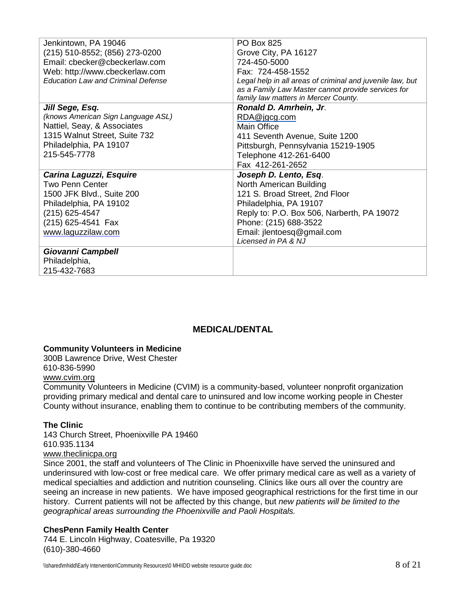| Jenkintown, PA 19046                      | <b>PO Box 825</b>                                         |  |
|-------------------------------------------|-----------------------------------------------------------|--|
| (215) 510-8552; (856) 273-0200            | Grove City, PA 16127                                      |  |
| Email: cbecker@cbeckerlaw.com             | 724-450-5000                                              |  |
| Web: http://www.cbeckerlaw.com            | Fax: 724-458-1552                                         |  |
| <b>Education Law and Criminal Defense</b> | Legal help in all areas of criminal and juvenile law, but |  |
|                                           | as a Family Law Master cannot provide services for        |  |
|                                           | family law matters in Mercer County.                      |  |
| Jill Sege, Esq.                           | Ronald D. Amrhein, Jr.                                    |  |
| (knows American Sign Language ASL)        | RDA@jgcg.com                                              |  |
| Nattiel, Seay, & Associates               | Main Office                                               |  |
| 1315 Walnut Street, Suite 732             | 411 Seventh Avenue, Suite 1200                            |  |
| Philadelphia, PA 19107                    | Pittsburgh, Pennsylvania 15219-1905                       |  |
| 215-545-7778                              | Telephone 412-261-6400                                    |  |
|                                           | Fax 412-261-2652                                          |  |
| Carina Laguzzi, Esquire                   | Joseph D. Lento, Esq.                                     |  |
| Two Penn Center                           | North American Building                                   |  |
| 1500 JFK Blvd., Suite 200                 | 121 S. Broad Street, 2nd Floor                            |  |
| Philadelphia, PA 19102                    | Philadelphia, PA 19107                                    |  |
| (215) 625-4547                            | Reply to: P.O. Box 506, Narberth, PA 19072                |  |
| (215) 625-4541 Fax                        | Phone: (215) 688-3522                                     |  |
| www.laguzzilaw.com                        | Email: jlentoesq@gmail.com                                |  |
|                                           | Licensed in PA & NJ                                       |  |
| Giovanni Campbell                         |                                                           |  |
| Philadelphia,                             |                                                           |  |
| 215-432-7683                              |                                                           |  |

## **MEDICAL/DENTAL**

#### **Community Volunteers in Medicine**

300B Lawrence Drive, West Chester 610-836-5990 [www.cvim.org](http://www.cvim.org/)

Community Volunteers in Medicine (CVIM) is a community-based, volunteer nonprofit organization providing primary medical and dental care to uninsured and low income working people in Chester County without insurance, enabling them to continue to be contributing members of the community.

#### **The Clinic**

143 Church Street, Phoenixville PA 19460 610.935.1134 [www.theclinicpa.org](http://www.theclinicpa.org/)

Since 2001, the staff and volunteers of The Clinic in Phoenixville have served the uninsured and underinsured with low-cost or free medical care. We offer primary medical care as well as a variety of medical specialties and addiction and nutrition counseling. Clinics like ours all over the country are seeing an increase in new patients. We have imposed geographical restrictions for the first time in our history. Current patients will not be affected by this change, but *new patients will be limited to the geographical areas surrounding the Phoenixville and Paoli Hospitals.*

### **ChesPenn Family Health Center**

744 E. Lincoln Highway, Coatesville, Pa 19320 (610)-380-4660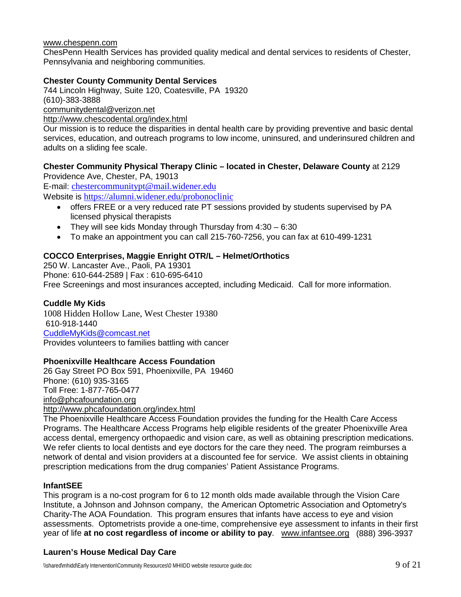#### [www.chespenn.com](http://www.chespenn.com/)

ChesPenn Health Services has provided quality medical and dental services to residents of Chester, Pennsylvania and neighboring communities.

### **Chester County Community Dental Services**

744 Lincoln Highway, Suite 120, Coatesville, PA 19320 (610)-383-3888 [communitydental@verizon.net](mailto:communitydental@verizon.net)

<http://www.chescodental.org/index.html>

Our mission is to reduce the disparities in dental health care by providing preventive and basic dental services, education, and outreach programs to low income, uninsured, and underinsured children and adults on a sliding fee scale.

## **Chester Community Physical Therapy Clinic – located in Chester, Delaware County** at 2129

Providence Ave, Chester, PA, 19013 E-mail: [chestercommunitypt@mail.widener.edu](mailto:chestercommunitypt@mail.widener.edu) Website is <https://alumni.widener.edu/probonoclinic>

- offers FREE or a very reduced rate PT sessions provided by students supervised by PA licensed physical therapists
- They will see kids Monday through Thursday from  $4:30 6:30$
- To make an appointment you can call 215-760-7256, you can fax at 610-499-1231

### **COCCO Enterprises, Maggie Enright OTR/L – Helmet/Orthotics**

250 W. Lancaster Ave., Paoli, PA 19301 Phone: 610-644-2589 | Fax : 610-695-6410 Free Screenings and most insurances accepted, including Medicaid. Call for more information.

### **Cuddle My Kids**

1008 Hidden Hollow Lane, West Chester 19380 610-918-1440 [CuddleMyKids@comcast.net](mailto:CuddleMyKids@comcast.net) Provides volunteers to families battling with cancer

### **Phoenixville Healthcare Access Foundation**

26 Gay Street PO Box 591, Phoenixville, PA 19460 Phone: (610) 935-3165 Toll Free: 1-877-765-0477 [info@phcafoundation.org](mailto:info@phcafoundation.org) <http://www.phcafoundation.org/index.html>

The Phoenixville Healthcare Access Foundation provides the funding for the Health Care Access Programs. The Healthcare Access Programs help eligible residents of the greater Phoenixville Area access dental, emergency orthopaedic and vision care, as well as obtaining prescription medications. We refer clients to local dentists and eye doctors for the care they need. The program reimburses a network of dental and vision providers at a discounted fee for service. We assist clients in obtaining prescription medications from the drug companies' Patient Assistance Programs.

### **InfantSEE**

This program is a no-cost program for 6 to 12 month olds made available through the Vision Care Institute, a Johnson and Johnson company, the American Optometric Association and Optometry's Charity-The AOA Foundation. This program ensures that infants have access to eye and vision assessments. Optometrists provide a one-time, comprehensive eye assessment to infants in their first year of life **at no cost regardless of income or ability to pay**. [www.infantsee.org](http://www.infantsee.org/) (888) 396-3937

### **Lauren's House Medical Day Care**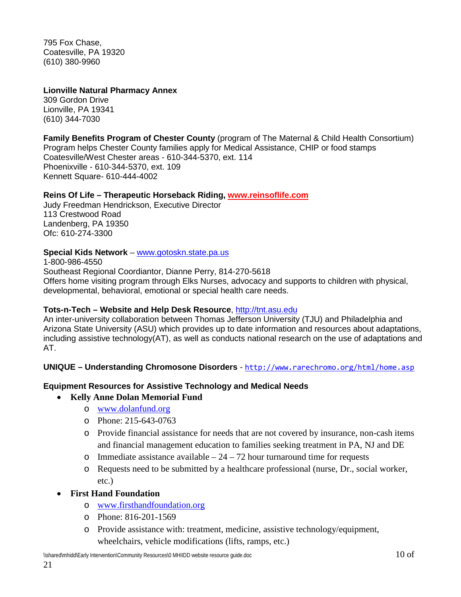795 Fox Chase, Coatesville, PA 19320 (610) 380-9960

### **Lionville Natural Pharmacy Annex**

309 Gordon Drive Lionville, PA 19341 (610) 344-7030

**Family Benefits Program of Chester County** (program of The Maternal & Child Health Consortium) Program helps Chester County families apply for Medical Assistance, CHIP or food stamps Coatesville/West Chester areas - 610-344-5370, ext. 114 Phoenixville - 610-344-5370, ext. 109 Kennett Square- 610-444-4002

#### **Reins Of Life – Therapeutic Horseback Riding, [www.reinsoflife.com](http://www.reinsoflife.com/)**

Judy Freedman Hendrickson, Executive Director 113 Crestwood Road Landenberg, PA 19350 Ofc: 610-274-3300

### **Special Kids Network** – [www.gotoskn.state.pa.us](http://www.gotoskn.state.pa.us/)

1-800-986-4550 Southeast Regional Coordiantor, Dianne Perry, 814-270-5618 Offers home visiting program through Elks Nurses, advocacy and supports to children with physical, developmental, behavioral, emotional or special health care needs.

### **Tots-n-Tech – Website and Help Desk Resource**, [http://tnt.asu.edu](http://tnt.asu.edu/)

An inter-university collaboration between Thomas Jefferson University (TJU) and Philadelphia and Arizona State University (ASU) which provides up to date information and resources about adaptations, including assistive technology(AT), as well as conducts national research on the use of adaptations and AT.

**UNIQUE – Understanding Chromosone Disorders** - <http://www.rarechromo.org/html/home.asp>

### **Equipment Resources for Assistive Technology and Medical Needs**

### • **Kelly Anne Dolan Memorial Fund**

- o [www.dolanfund.org](http://www.dolanfund.org/)
- o Phone: 215-643-0763
- o Provide financial assistance for needs that are not covered by insurance, non-cash items and financial management education to families seeking treatment in PA, NJ and DE
- o Immediate assistance available  $-24 72$  hour turnaround time for requests
- o Requests need to be submitted by a healthcare professional (nurse, Dr., social worker, etc.)
- **First Hand Foundation**
	- o [www.firsthandfoundation.org](http://www.firsthandfoundation.org/)
	- o Phone: 816-201-1569
	- o Provide assistance with: treatment, medicine, assistive technology/equipment, wheelchairs, vehicle modifications (lifts, ramps, etc.)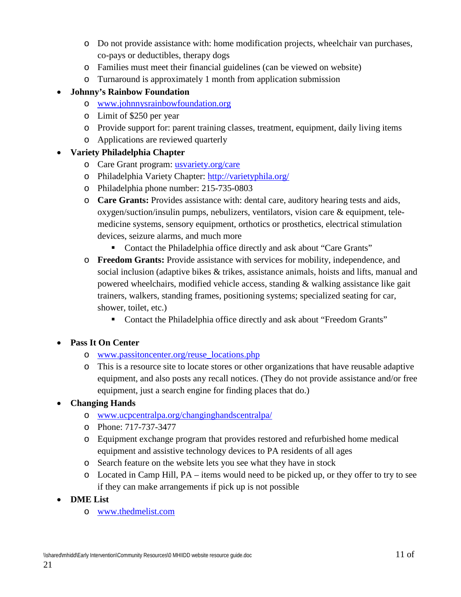- o Do not provide assistance with: home modification projects, wheelchair van purchases, co-pays or deductibles, therapy dogs
- o Families must meet their financial guidelines (can be viewed on website)
- o Turnaround is approximately 1 month from application submission

## • **Johnny's Rainbow Foundation**

- o [www.johnnysrainbowfoundation.org](http://www.johnnysrainbowfoundation.org/)
- o Limit of \$250 per year
- o Provide support for: parent training classes, treatment, equipment, daily living items
- o Applications are reviewed quarterly

## • **Variety Philadelphia Chapter**

- o Care Grant program: [usvariety.org/care](http://www.usvariety.org/care)
- o Philadelphia Variety Chapter:<http://varietyphila.org/>
- o Philadelphia phone number: 215-735-0803
- o **Care Grants:** Provides assistance with: dental care, auditory hearing tests and aids, oxygen/suction/insulin pumps, nebulizers, ventilators, vision care & equipment, telemedicine systems, sensory equipment, orthotics or prosthetics, electrical stimulation devices, seizure alarms, and much more
	- Contact the Philadelphia office directly and ask about "Care Grants"
- o **Freedom Grants:** Provide assistance with services for mobility, independence, and social inclusion (adaptive bikes & trikes, assistance animals, hoists and lifts, manual and powered wheelchairs, modified vehicle access, standing & walking assistance like gait trainers, walkers, standing frames, positioning systems; specialized seating for car, shower, toilet, etc.)
	- Contact the Philadelphia office directly and ask about "Freedom Grants"

## • **Pass It On Center**

- o [www.passitoncenter.org/reuse\\_locations.php](http://www.passitoncenter.org/reuse_locations.php)
- o This is a resource site to locate stores or other organizations that have reusable adaptive equipment, and also posts any recall notices. (They do not provide assistance and/or free equipment, just a search engine for finding places that do.)
- **Changing Hands**
	- o [www.ucpcentralpa.org/changinghandscentralpa/](http://www.ucpcentralpa.org/changinghandscentralpa/)
	- o Phone: 717-737-3477
	- o Equipment exchange program that provides restored and refurbished home medical equipment and assistive technology devices to PA residents of all ages
	- o Search feature on the website lets you see what they have in stock
	- $\circ$  Located in Camp Hill, PA items would need to be picked up, or they offer to try to see if they can make arrangements if pick up is not possible
- **DME List**
	- o [www.thedmelist.com](http://www.thedmelist.com/)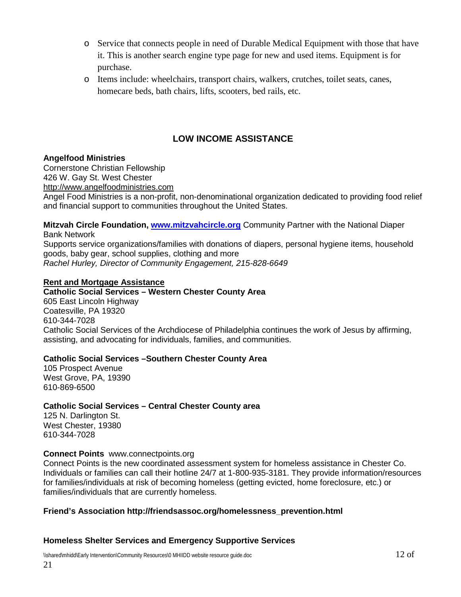- o Service that connects people in need of Durable Medical Equipment with those that have it. This is another search engine type page for new and used items. Equipment is for purchase.
- o Items include: wheelchairs, transport chairs, walkers, crutches, toilet seats, canes, homecare beds, bath chairs, lifts, scooters, bed rails, etc.

## **LOW INCOME ASSISTANCE**

### **Angelfood Ministries**

Cornerstone Christian Fellowship 426 W. Gay St. West Chester [http://www.angelfoodministries.com](http://www.angelfoodministries.com/)

Angel Food Ministries is a non-profit, non-denominational organization dedicated to providing food relief and financial support to communities throughout the United States.

**Mitzvah Circle Foundation, [www.mitzvahcircle.org](http://www.mitzvahcircle.org/)** Community Partner with the National Diaper Bank Network

Supports service organizations/families with donations of diapers, personal hygiene items, household goods, baby gear, school supplies, clothing and more *Rachel Hurley, Director of Community Engagement, 215-828-6649*

### **Rent and Mortgage Assistance**

### **Catholic Social Services – Western Chester County Area**

605 East Lincoln Highway Coatesville, PA 19320 610-344-7028 Catholic Social Services of the Archdiocese of Philadelphia continues the work of Jesus by affirming, assisting, and advocating for individuals, families, and communities.

### **Catholic Social Services –Southern Chester County Area**

105 Prospect Avenue West Grove, PA, 19390 610-869-6500

### **Catholic Social Services – Central Chester County area**

125 N. Darlington St. West Chester, 19380 610-344-7028

### **Connect Points** [www.connectpoints.org](http://www.connectpoints.org/)

Connect Points is the new coordinated assessment system for homeless assistance in Chester Co. Individuals or families can call their hotline 24/7 at 1-800-935-3181. They provide information/resources for families/individuals at risk of becoming homeless (getting evicted, home foreclosure, etc.) or families/individuals that are currently homeless.

### **Friend's Association [http://friendsassoc.org/homelessness\\_prevention.html](http://friendsassoc.org/homelessness_prevention.html)**

### **Homeless Shelter Services and Emergency Supportive Services**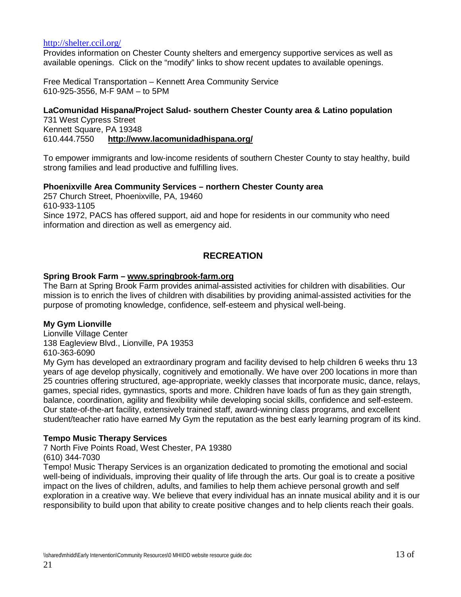#### <http://shelter.ccil.org/>

Provides information on Chester County shelters and emergency supportive services as well as available openings. Click on the "modify" links to show recent updates to available openings.

Free Medical Transportation – Kennett Area Community Service 610-925-3556, M-F 9AM – to 5PM

### **LaComunidad Hispana/Project Salud- southern Chester County area & Latino population**

731 West Cypress Street Kennett Square, PA 19348 610.444.7550 **<http://www.lacomunidadhispana.org/>**

To empower immigrants and low-income residents of southern Chester County to stay healthy, build strong families and lead productive and fulfilling lives.

### **Phoenixville Area Community Services – northern Chester County area**

257 Church Street, Phoenixville, PA, 19460 610-933-1105 Since 1972, PACS has offered support, aid and hope for residents in our community who need information and direction as well as emergency aid.

## **RECREATION**

#### **Spring Brook Farm – [www.springbrook-farm.org](http://www.springbrook-farm.org/)**

The Barn at Spring Brook Farm provides animal-assisted activities for children with disabilities. Our mission is to enrich the lives of children with disabilities by providing animal-assisted activities for the purpose of promoting knowledge, confidence, self-esteem and physical well-being.

### **My Gym Lionville**

Lionville Village Center 138 Eagleview Blvd., Lionville, PA 19353 610-363-6090

My Gym has developed an extraordinary program and facility devised to help children 6 weeks thru 13 years of age develop physically, cognitively and emotionally. We have over 200 locations in more than 25 countries offering structured, age-appropriate, weekly classes that incorporate music, dance, relays, games, special rides, gymnastics, sports and more. Children have loads of fun as they gain strength, balance, coordination, agility and flexibility while developing social skills, confidence and self-esteem. Our state-of-the-art facility, extensively trained staff, award-winning class programs, and excellent student/teacher ratio have earned My Gym the reputation as the best early learning program of its kind.

### **Tempo Music Therapy Services**

7 North Five Points Road, West Chester, PA 19380 (610) 344-7030

Tempo! Music Therapy Services is an organization dedicated to promoting the emotional and social well-being of individuals, improving their quality of life through the arts. Our goal is to create a positive impact on the lives of children, adults, and families to help them achieve personal growth and self exploration in a creative way. We believe that every individual has an innate musical ability and it is our responsibility to build upon that ability to create positive changes and to help clients reach their goals.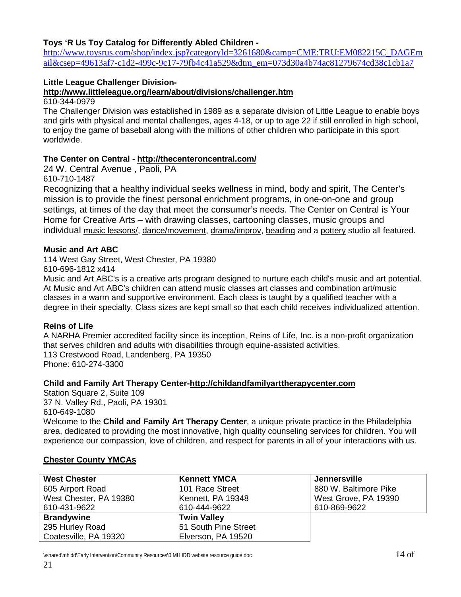### **Toys 'R Us Toy Catalog for Differently Abled Children -**

[http://www.toysrus.com/shop/index.jsp?categoryId=3261680&camp=CME:TRU:EM082215C\\_DAGEm](http://www.toysrus.com/shop/index.jsp?categoryId=3261680&camp=CME:TRU:EM082215C_DAGEmail&csep=49613af7-c1d2-499c-9c17-79fb4c41a529&dtm_em=073d30a4b74ac81279674cd38c1cb1a7) [ail&csep=49613af7-c1d2-499c-9c17-79fb4c41a529&dtm\\_em=073d30a4b74ac81279674cd38c1cb1a7](http://www.toysrus.com/shop/index.jsp?categoryId=3261680&camp=CME:TRU:EM082215C_DAGEmail&csep=49613af7-c1d2-499c-9c17-79fb4c41a529&dtm_em=073d30a4b74ac81279674cd38c1cb1a7)

### **Little League Challenger Division-**

**http://www.littleleague.org/learn/about/divisions/challenger.htm**

610-344-0979

The Challenger Division was established in 1989 as a separate division of Little League to enable boys and girls with physical and mental challenges, ages 4-18, or up to age 22 if still enrolled in high school, to enjoy the game of baseball along with the millions of other children who participate in this sport worldwide.

### **The Center on Central - <http://thecenteroncentral.com/>**

24 W. Central Avenue , Paoli, PA

610-710-1487

Recognizing that a healthy individual seeks wellness in mind, body and spirit, The Center's mission is to provide the finest personal enrichment programs, in one-on-one and group settings, at times of the day that meet the consumer's needs. The Center on Central is Your Home for Creative Arts – with [drawing classes, cartooning classes,](http://thecenteroncentral.com/schedule-of-offerings-young-rembrandts-drawing-classes/) [music groups](http://thecenteroncentral.com/schedule-of-offerings-music-groups/) and individual [music lessons/,](http://thecenteroncentral.com/schedule-of-offerings-music-lessons) [dance/movement,](http://thecenteroncentral.com/schedule-of-offerings-dance/) [drama/improv,](http://thecenteroncentral.com/schedule-of-offerings-drama/) [beading](http://thecenteroncentral.com/beading-by-beadeologie/) and a [pottery](http://thecenteroncentral.com/schedule-of-offerings-pottery/) studio all featured.

### **Music and Art ABC**

114 West Gay Street, West Chester, PA 19380

610-696-1812 x414

Music and Art ABC's is a creative arts program designed to nurture each child's music and art potential. At Music and Art ABC's children can attend music classes art classes and combination art/music classes in a warm and supportive environment. Each class is taught by a qualified teacher with a degree in their specialty. Class sizes are kept small so that each child receives individualized attention.

## **Reins of Life**

A NARHA Premier accredited facility since its inception, Reins of Life, Inc. is a non-profit organization that serves children and adults with disabilities through equine-assisted activities. 113 Crestwood Road, Landenberg, PA 19350 Phone: 610-274-3300

### **Child and Family Art Therapy Center[-http://childandfamilyarttherapycenter.com](http://childandfamilyarttherapycenter.com/)**

Station Square 2, Suite 109 37 N. Valley Rd., Paoli, PA 19301 610-649-1080

Welcome to the **Child and Family Art Therapy Center**, a unique private practice in the Philadelphia area, dedicated to providing the most innovative, high quality counseling services for children. You will experience our compassion, love of children, and respect for parents in all of your interactions with us.

## **Chester County YMCAs**

| <b>West Chester</b>    | <b>Kennett YMCA</b>  | Jennersville          |
|------------------------|----------------------|-----------------------|
| 605 Airport Road       | 101 Race Street      | 880 W. Baltimore Pike |
| West Chester, PA 19380 | Kennett, PA 19348    | West Grove, PA 19390  |
| 610-431-9622           | 610-444-9622         | 610-869-9622          |
| <b>Brandywine</b>      | <b>Twin Valley</b>   |                       |
| 295 Hurley Road        | 51 South Pine Street |                       |
| Coatesville, PA 19320  | Elverson, PA 19520   |                       |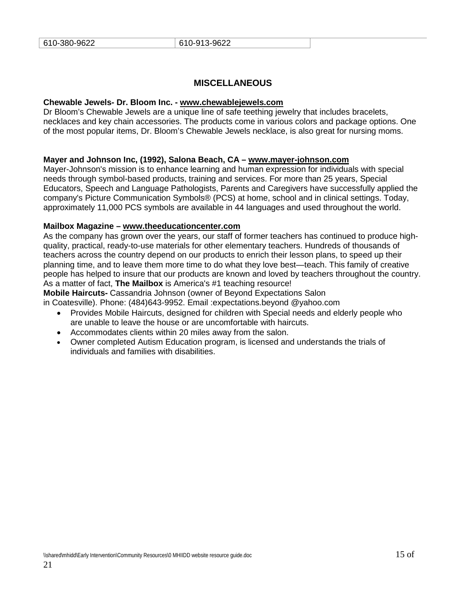### **MISCELLANEOUS**

#### **Chewable Jewels- Dr. Bloom Inc. - [www.chewablejewels.com](http://www.chewablejewels.com/)**

Dr Bloom's Chewable Jewels are a unique line of safe teething jewelry that includes bracelets, necklaces and key chain accessories. The products come in various colors and package options. One of the most popular items, Dr. Bloom's Chewable Jewels necklace, is also great for nursing moms.

#### **Mayer and Johnson Inc, (1992), Salona Beach, CA – [www.mayer-johnson.com](http://www.mayer-johnson.com/)**

Mayer-Johnson's mission is to enhance learning and human expression for individuals with special needs through symbol-based products, training and services. For more than 25 years, Special Educators, Speech and Language Pathologists, Parents and Caregivers have successfully applied the company's Picture Communication Symbols® (PCS) at home, school and in clinical settings. Today, approximately 11,000 PCS symbols are available in 44 languages and used throughout the world.

#### **Mailbox Magazine – [www.theeducationcenter.com](http://www.theeducationcenter.com/)**

As the company has grown over the years, our staff of former teachers has continued to produce highquality, practical, ready-to-use materials for other elementary teachers. Hundreds of thousands of teachers across the country depend on our products to enrich their lesson plans, to speed up their planning time, and to leave them more time to do what they love best—teach. This family of creative people has helped to insure that our products are known and loved by teachers throughout the country. As a matter of fact, **The Mailbox** is America's #1 teaching resource!

#### **Mobile Haircuts-** Cassandria Johnson (owner of Beyond Expectations Salon

in Coatesville). Phone: (484)643-9952. Email :expectations.beyond @yahoo.com

- Provides Mobile Haircuts, designed for children with Special needs and elderly people who are unable to leave the house or are uncomfortable with haircuts.
- Accommodates clients within 20 miles away from the salon.
- Owner completed Autism Education program, is licensed and understands the trials of individuals and families with disabilities.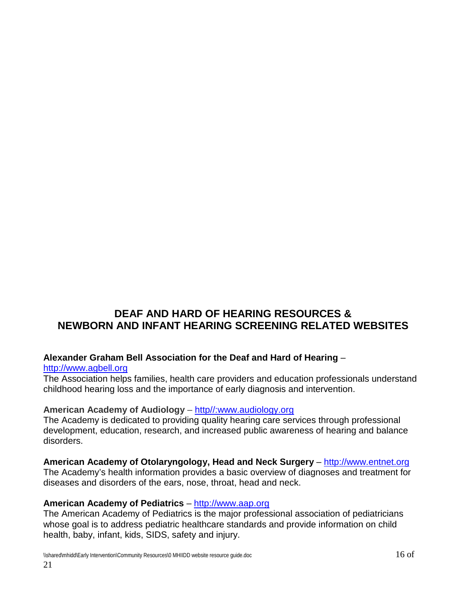# **DEAF AND HARD OF HEARING RESOURCES & NEWBORN AND INFANT HEARING SCREENING RELATED WEBSITES**

## **Alexander Graham Bell Association for the Deaf and Hard of Hearing** –

### [http://www.agbell.org](http://www.agbell.org/)

The Association helps families, health care providers and education professionals understand childhood hearing loss and the importance of early diagnosis and intervention.

## **American Academy of Audiology** – [http//:www.audiology.org](http://www.audiology.org/)

The Academy is dedicated to providing quality hearing care services through professional development, education, research, and increased public awareness of hearing and balance disorders.

**American Academy of Otolaryngology, Head and Neck Surgery** – [http://www.entnet.org](http://www.entnet.org/) The Academy's health information provides a basic overview of diagnoses and treatment for diseases and disorders of the ears, nose, throat, head and neck.

## **American Academy of Pediatrics** – [http://www.aap.org](http://www.aap.org/)

The American Academy of Pediatrics is the major professional association of pediatricians whose goal is to address pediatric healthcare standards and provide information on child health, baby, infant, kids, SIDS, safety and injury.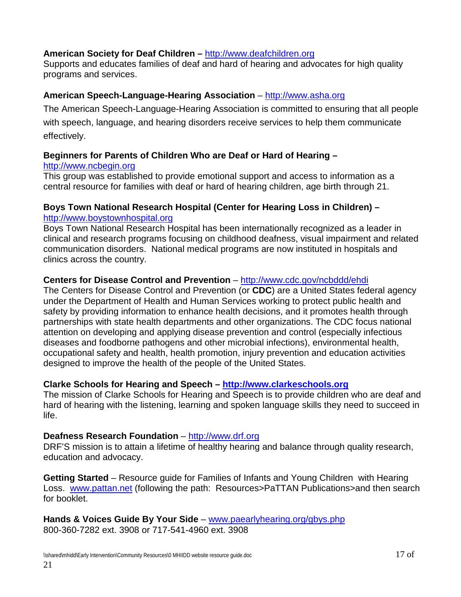## **American Society for Deaf Children –** [http://www.deafchildren.org](http://www.deafchildren.org/)

Supports and educates families of deaf and hard of hearing and advocates for high quality programs and services.

## **American Speech-Language-Hearing Association** – [http://www.asha.org](http://www.asha.org/)

The American Speech-Language-Hearing Association is committed to ensuring that all people with speech, language, and hearing disorders receive services to help them communicate effectively.

## **Beginners for Parents of Children Who are Deaf or Hard of Hearing –**

## [http://www.ncbegin.org](http://www.ncbegin.org/)

This group was established to provide emotional support and access to information as a central resource for families with deaf or hard of hearing children, age birth through 21.

## **Boys Town National Research Hospital (Center for Hearing Loss in Children) –** [http://www.boystownhospital.org](http://www.boystownhospital.org/)

Boys Town National Research Hospital has been internationally recognized as a leader in clinical and research programs focusing on childhood deafness, visual impairment and related communication disorders. National medical programs are now instituted in hospitals and clinics across the country.

## **Centers for Disease Control and Prevention** – <http://www.cdc.gov/ncbddd/ehdi>

The Centers for Disease Control and Prevention (or **CDC**) are a [United States federal agency](http://en.wikipedia.org/wiki/List_of_United_States_federal_agencies) under the [Department of Health and Human Services](http://en.wikipedia.org/wiki/United_States_Department_of_Health_and_Human_Services) working to protect [public health](http://en.wikipedia.org/wiki/Public_health) and [safety](http://en.wikipedia.org/wiki/Safety) by providing information to enhance health decisions, and it promotes health through partnerships with state health departments and other organizations. The CDC focus national attention on developing and applying disease prevention and control (especially [infectious](http://en.wikipedia.org/wiki/Infectious_disease)  [diseases](http://en.wikipedia.org/wiki/Infectious_disease) and [foodborne pathogens](http://en.wikipedia.org/wiki/Foodborne_pathogens) and other microbial infections), [environmental health,](http://en.wikipedia.org/wiki/Environmental_health) [occupational safety and health,](http://en.wikipedia.org/wiki/Occupational_safety_and_health) [health promotion,](http://en.wikipedia.org/wiki/Health_promotion) [injury prevention](http://en.wikipedia.org/wiki/Injury_prevention) and [education](http://en.wikipedia.org/wiki/Health_education) activities designed to improve the [health](http://en.wikipedia.org/wiki/Health) of the people of the United States.

## **Clarke Schools for Hearing and Speech – [http://www.clarkeschools.org](http://www.clarkeschools.org/)**

The mission of Clarke Schools for Hearing and Speech is to provide children who are deaf and hard of hearing with the listening, learning and spoken language skills they need to succeed in life.

## **Deafness Research Foundation** – [http://www.drf.org](http://www.drf.org/)

DRF'S mission is to attain a lifetime of healthy hearing and balance through quality research, education and advocacy.

**Getting Started** – Resource guide for Families of Infants and Young Children with Hearing Loss. [www.pattan.net](http://www.pattan.net/) (following the path: Resources>PaTTAN Publications>and then search for booklet.

**Hands & Voices Guide By Your Side** – [www.paearlyhearing.org/gbys.php](http://www.paearlyhearing.org/gbys.php) 800-360-7282 ext. 3908 or 717-541-4960 ext. 3908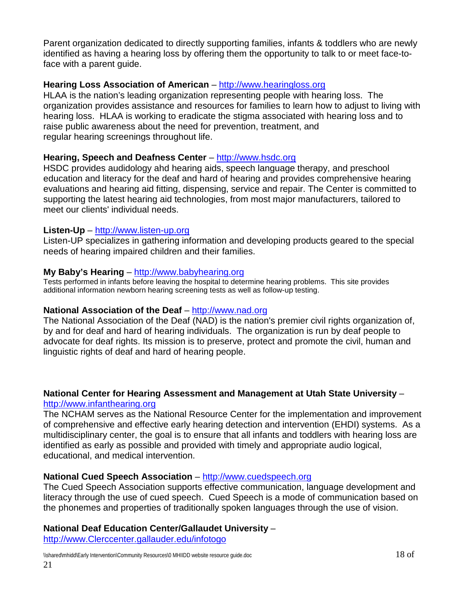Parent organization dedicated to directly supporting families, infants & toddlers who are newly identified as having a hearing loss by offering them the opportunity to talk to or meet face-toface with a parent guide.

## **Hearing Loss Association of American** – [http://www.hearingloss.org](http://www.hearingloss.org/)

HLAA is the nation's leading organization representing people with hearing loss. The organization provides assistance and resources for families to learn how to adjust to living with hearing loss. HLAA is working to eradicate the stigma associated with hearing loss and to raise public awareness about the need for prevention, treatment, and regular hearing screenings throughout life.

## **Hearing, Speech and Deafness Center** – [http://www.hsdc.org](http://www.hsdc.org/)

HSDC provides audidology ahd hearing aids, speech language therapy, and preschool education and literacy for the deaf and hard of hearing and provides comprehensive hearing evaluations and hearing aid fitting, dispensing, service and repair. The Center is committed to supporting the latest hearing aid technologies, from most major manufacturers, tailored to meet our clients' individual needs.

## **Listen-Up** – [http://www.listen-up.org](http://www.listen-up.org/)

Listen-UP specializes in gathering information and developing products geared to the special needs of hearing impaired children and their families.

## **My Baby's Hearing** – [http://www.babyhearing.org](http://www.babyhearing.org/)

Tests performed in infants before leaving the hospital to determine hearing problems. This site provides additional information newborn hearing screening tests as well as follow-up testing.

## **National Association of the Deaf** – [http://www.nad.org](http://www.nad.org/)

The National Association of the Deaf (NAD) is the nation's premier civil rights organization of, by and for deaf and hard of hearing individuals. The organization is run by deaf people to advocate for deaf rights. Its mission is to preserve, protect and promote the civil, human and linguistic rights of deaf and hard of hearing people.

### **National Center for Hearing Assessment and Management at Utah State University** – [http://www.infanthearing.org](http://www.infanthearing.org/)

The NCHAM serves as the National Resource Center for the implementation and improvement of comprehensive and effective early hearing detection and intervention (EHDI) systems. As a multidisciplinary center, the goal is to ensure that all infants and toddlers with hearing loss are identified as early as possible and provided with timely and appropriate audio logical, educational, and medical intervention.

## **National Cued Speech Association** – [http://www.cuedspeech.org](http://www.cuedspeech.org/)

The Cued Speech Association supports effective communication, language development and literacy through the use of cued speech. Cued Speech is a mode of communication based on the phonemes and properties of traditionally spoken languages through the use of vision.

## **National Deaf Education Center/Gallaudet University** –

[http://www.Clerccenter.gallauder.edu/infotogo](http://www.clerccenter.gallauder.edu/infotogo)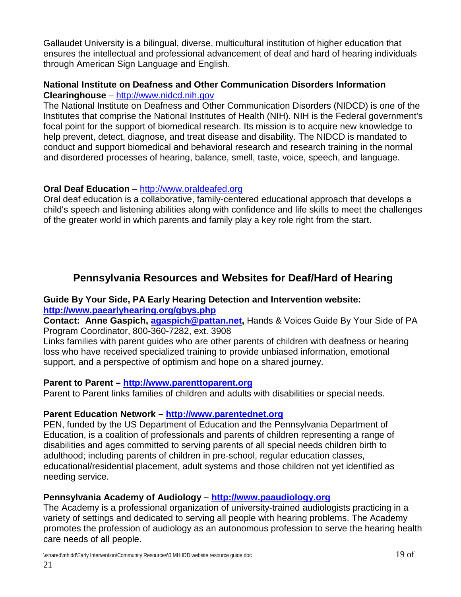Gallaudet University is a bilingual, diverse, multicultural institution of higher education that ensures the intellectual and professional advancement of deaf and hard of hearing individuals through American Sign Language and English.

## **National Institute on Deafness and Other Communication Disorders Information Clearinghouse** – [http://www.nidcd.nih.gov](http://www.nidcd.nih.gov/)

The National Institute on Deafness and Other Communication Disorders (NIDCD) is one of the Institutes that comprise the National Institutes of Health (NIH). NIH is the Federal government's focal point for the support of biomedical research. Its mission is to acquire new knowledge to help prevent, detect, diagnose, and treat disease and disability. The NIDCD is mandated to conduct and support biomedical and behavioral research and research training in the normal and disordered processes of hearing, balance, smell, taste, voice, speech, and language.

## **Oral Deaf Education** – [http://www.oraldeafed.org](http://www.oraldeafed.org/)

Oral deaf education is a collaborative, family-centered educational approach that develops a child's speech and listening abilities along with confidence and life skills to meet the challenges of the greater world in which parents and family play a key role right from the start.

# **Pennsylvania Resources and Websites for Deaf/Hard of Hearing**

## **Guide By Your Side, PA Early Hearing Detection and Intervention website: <http://www.paearlyhearing.org/gbys.php>**

**Contact: Anne Gaspich, [agaspich@pattan.net,](mailto:agaspich@pattan.net)** Hands & Voices Guide By Your Side of PA Program Coordinator, 800-360-7282, ext. 3908

Links families with parent guides who are other parents of children with deafness or hearing loss who have received specialized training to provide unbiased information, emotional support, and a perspective of optimism and hope on a shared journey.

## **Parent to Parent – [http://www.parenttoparent.org](http://www.parenttoparent.org/)**

Parent to Parent links families of children and adults with disabilities or special needs.

## **Parent Education Network – [http://www.parentednet.org](http://www.parentednet.org/)**

PEN, funded by the US Department of Education and the Pennsylvania Department of Education, is a coalition of professionals and parents of children representing a range of disabilities and ages committed to serving parents of all special needs children birth to adulthood; including parents of children in pre-school, regular education classes, educational/residential placement, adult systems and those children not yet identified as needing service.

## **Pennsylvania Academy of Audiology – [http://www.paaudiology.org](http://www.paaudiology.org/)**

The Academy is a professional organization of university-trained audiologists practicing in a variety of settings and dedicated to serving all people with hearing problems. The Academy promotes the profession of audiology as an autonomous profession to serve the hearing health care needs of all people.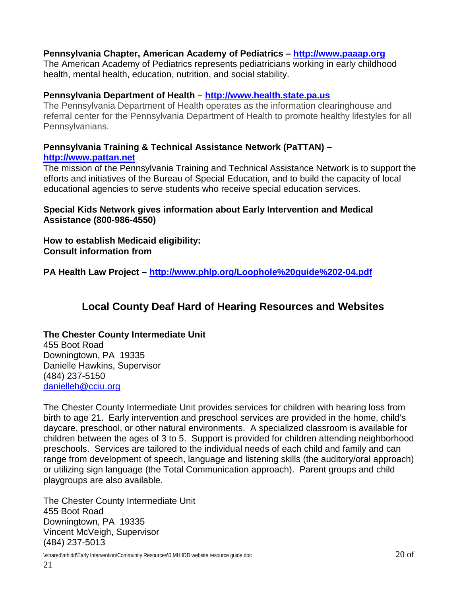### **Pennsylvania Chapter, American Academy of Pediatrics – [http://www.paaap.org](http://www.paaap.org/)**

The American Academy of Pediatrics represents pediatricians working in early childhood health, mental health, education, nutrition, and social stability.

### **Pennsylvania Department of Health – [http://www.health.state.pa.us](http://www.health.state.pa.us/)**

The Pennsylvania Department of Health operates as the information clearinghouse and referral center for the Pennsylvania Department of Health to promote healthy lifestyles for all Pennsylvanians.

#### **Pennsylvania Training & Technical Assistance Network (PaTTAN) – [http://www.pattan.net](http://www.pattan.net/)**

The mission of the Pennsylvania Training and Technical Assistance Network is to support the efforts and initiatives of the [Bureau of Special Education,](http://www.portal.state.pa.us/portal/server.pt/community/bureau_of_special_education/) and to build the capacity of local educational agencies to serve students who receive special education services.

## **Special Kids Network gives information about Early Intervention and Medical Assistance (800-986-4550)**

**How to establish Medicaid eligibility: Consult information from**

**PA Health Law Project – <http://www.phlp.org/Loophole%20guide%202-04.pdf>**

## **Local County Deaf Hard of Hearing Resources and Websites**

## **The Chester County Intermediate Unit**

455 Boot Road Downingtown, PA 19335 Danielle Hawkins, Supervisor (484) 237-5150 [danielleh@cciu.org](mailto:danielleh@cciu.org)

The Chester County Intermediate Unit provides services for children with hearing loss from birth to age 21. Early intervention and preschool services are provided in the home, child's daycare, preschool, or other natural environments. A specialized classroom is available for children between the ages of 3 to 5. Support is provided for children attending neighborhood preschools. Services are tailored to the individual needs of each child and family and can range from development of speech, language and listening skills (the auditory/oral approach) or utilizing sign language (the Total Communication approach). Parent groups and child playgroups are also available.

The Chester County Intermediate Unit 455 Boot Road Downingtown, PA 19335 Vincent McVeigh, Supervisor (484) 237-5013

 $\%$  \\shared\mhidd\Early Intervention\Community Resources\0 MHIIDD website resource guide.doc  $20\ {\rm of}$